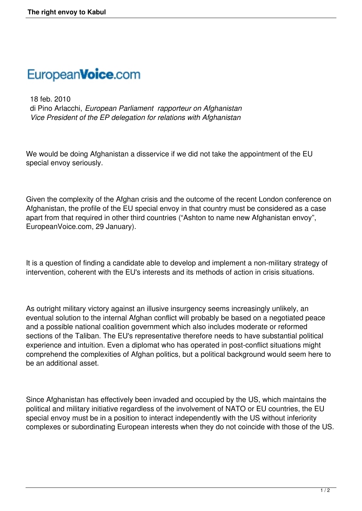## EuropeanVoice.com

 18 feb. 2010 di Pino Arlacchi, *European Parliament rapporteur on Afghanistan Vice President of the EP delegation for relations with Afghanistan*

We would be doing Afghanistan a disservice if we did not take the appointment of the EU special envoy seriously.

Given the complexity of the Afghan crisis and the outcome of the recent London conference on Afghanistan, the profile of the EU special envoy in that country must be considered as a case apart from that required in other third countries ("Ashton to name new Afghanistan envoy", EuropeanVoice.com, 29 January).

It is a question of finding a candidate able to develop and implement a non-military strategy of intervention, coherent with the EU's interests and its methods of action in crisis situations.

As outright military victory against an illusive insurgency seems increasingly unlikely, an eventual solution to the internal Afghan conflict will probably be based on a negotiated peace and a possible national coalition government which also includes moderate or reformed sections of the Taliban. The EU's representative therefore needs to have substantial political experience and intuition. Even a diplomat who has operated in post-conflict situations might comprehend the complexities of Afghan politics, but a political background would seem here to be an additional asset.

Since Afghanistan has effectively been invaded and occupied by the US, which maintains the political and military initiative regardless of the involvement of NATO or EU countries, the EU special envoy must be in a position to interact independently with the US without inferiority complexes or subordinating European interests when they do not coincide with those of the US.